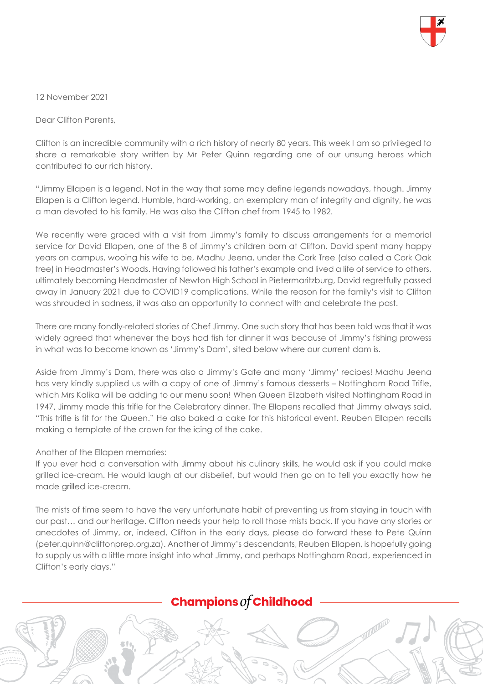

12 November 2021

Dear Clifton Parents,

Clifton is an incredible community with a rich history of nearly 80 years. This week I am so privileged to share a remarkable story written by Mr Peter Quinn regarding one of our unsung heroes which contributed to our rich history.

"Jimmy Ellapen is a legend. Not in the way that some may define legends nowadays, though. Jimmy Ellapen is a Clifton legend. Humble, hard-working, an exemplary man of integrity and dignity, he was a man devoted to his family. He was also the Clifton chef from 1945 to 1982.

We recently were graced with a visit from Jimmy's family to discuss arrangements for a memorial service for David Ellapen, one of the 8 of Jimmy's children born at Clifton. David spent many happy years on campus, wooing his wife to be, Madhu Jeena, under the Cork Tree (also called a Cork Oak tree) in Headmaster's Woods. Having followed his father's example and lived a life of service to others, ultimately becoming Headmaster of Newton High School in Pietermaritzburg, David regretfully passed away in January 2021 due to COVID19 complications. While the reason for the family's visit to Clifton was shrouded in sadness, it was also an opportunity to connect with and celebrate the past.

There are many fondly-related stories of Chef Jimmy. One such story that has been told was that it was widely agreed that whenever the boys had fish for dinner it was because of Jimmy's fishing prowess in what was to become known as 'Jimmy's Dam', sited below where our current dam is.

Aside from Jimmy's Dam, there was also a Jimmy's Gate and many 'Jimmy' recipes! Madhu Jeena has very kindly supplied us with a copy of one of Jimmy's famous desserts - Nottingham Road Trifle, which Mrs Kalika will be adding to our menu soon! When Queen Elizabeth visited Nottingham Road in 1947, Jimmy made this trifle for the Celebratory dinner. The Ellapens recalled that Jimmy always said, "This trifle is fit for the Queen." He also baked a cake for this historical event. Reuben Ellapen recalls making a template of the crown for the icing of the cake.

## Another of the Ellapen memories:

If you ever had a conversation with Jimmy about his culinary skills, he would ask if you could make grilled ice-cream. He would laugh at our disbelief, but would then go on to tell you exactly how he made grilled ice-cream.

The mists of time seem to have the very unfortunate habit of preventing us from staying in touch with our past… and our heritage. Clifton needs your help to roll those mists back. If you have any stories or anecdotes of Jimmy, or, indeed, Clifton in the early days, please do forward these to Pete Quinn (peter.quinn@cliftonprep.org.za). Another of Jimmy's descendants, Reuben Ellapen, is hopefully going to supply us with a little more insight into what Jimmy, and perhaps Nottingham Road, experienced in Clifton's early days."

## **Champions of Childhood**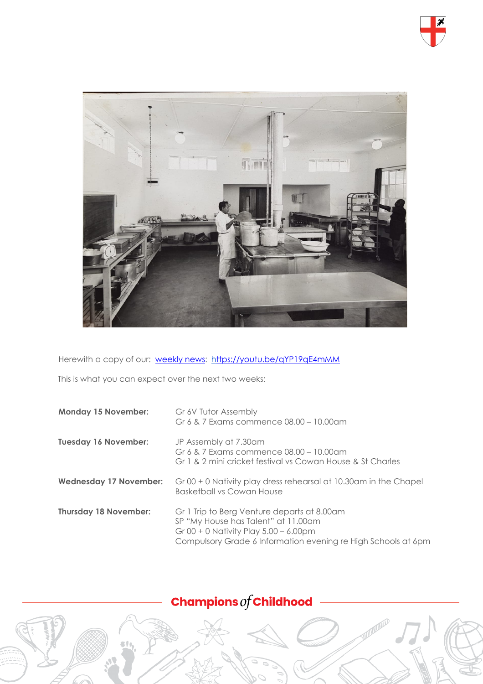



Herewith a copy of our: [weekly news:](https://youtu.be/qYP19qE4mMM) <https://youtu.be/qYP19qE4mMM>

This is what you can expect over the next two weeks:

| <b>Monday 15 November:</b>    | Gr 6V Tutor Assembly<br>Gr 6 & 7 Exams commence 08.00 - 10.00am                                                                                                                                 |
|-------------------------------|-------------------------------------------------------------------------------------------------------------------------------------------------------------------------------------------------|
| <b>Tuesday 16 November:</b>   | JP Assembly at 7.30am<br>Gr 6 & 7 Exams commence 08.00 - 10.00am<br>Gr 1 & 2 mini cricket festival vs Cowan House & St Charles                                                                  |
| <b>Wednesday 17 November:</b> | Gr 00 + 0 Nativity play dress rehearsal at 10.30am in the Chapel<br>Basketball vs Cowan House                                                                                                   |
| <b>Thursday 18 November:</b>  | Gr 1 Trip to Berg Venture departs at 8.00am<br>SP "My House has Talent" at 11.00am<br>Gr 00 + 0 Nativity Play $5.00 - 6.00$ pm<br>Compulsory Grade 6 Information evening re High Schools at 6pm |

## Champions  $of$  Childhood

**STATEMANDS**